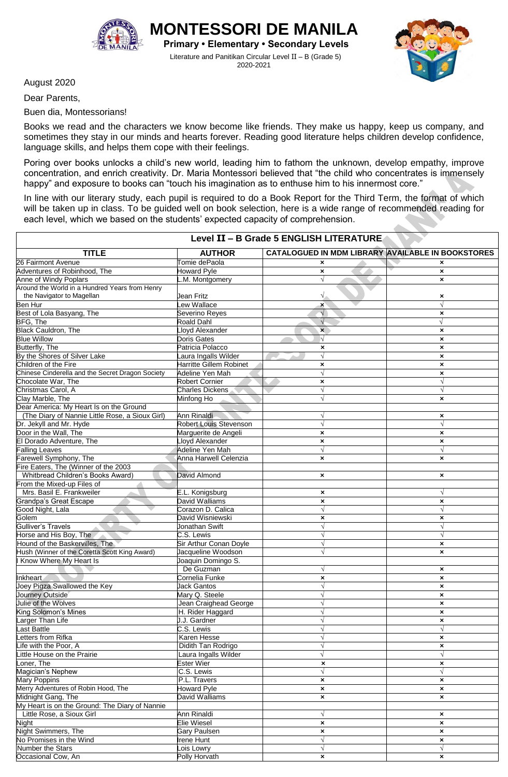

**MONTESSORI DE MANILA Primary • Elementary • Secondary Levels**

Literature and Panitikan Circular Level II – B (Grade 5) 2020-2021



August 2020

Dear Parents,

Buen dia, Montessorians!

Books we read and the characters we know become like friends. They make us happy, keep us company, and sometimes they stay in our minds and hearts forever. Reading good literature helps children develop confidence, language skills, and helps them cope with their feelings.

Poring over books unlocks a child's new world, leading him to fathom the unknown, develop empathy, improve concentration, and enrich creativity. Dr. Maria Montessori believed that "the child who concentrates is immensely happy" and exposure to books can "touch his imagination as to enthuse him to his innermost core."

In line with our literary study, each pupil is required to do a Book Report for the Third Term, the format of which will be taken up in class. To be guided well on book selection, here is a wide range of recommended reading for each level, which we based on the students' expected capacity of comprehension.

| <b>CATALOGUED IN MDM LIBRARY AVAILABLE IN BOOKSTORES</b><br><b>TITLE</b><br><b>AUTHOR</b><br>Tomie dePaola<br>$\boldsymbol{\mathsf{x}}$<br>$\boldsymbol{\mathsf{x}}$<br><b>Howard Pyle</b><br>$\pmb{\times}$<br>$\pmb{\times}$<br>M. Montgomery<br>$\sqrt{ }$<br>$\boldsymbol{\mathsf{x}}$<br>the Navigator to Magellan<br>$\sqrt{}$<br>Jean Fritz<br>×<br>Lew Wallace<br>Ben Hur<br>$\sqrt{}$<br>×<br>Best of Lola Basyang, The<br>Severino Reyes<br>$\sqrt{}$<br>$\pmb{\times}$<br>BFG, The<br>Roald Dahl<br>$\sqrt{ }$<br>$\sqrt{ }$<br><b>Black Cauldron, The</b><br>Lloyd Alexander<br>$\mathbf{x}$<br>$\pmb{\times}$<br><b>Blue Willow</b><br>Doris Gates<br>N<br>$\pmb{\times}$<br><b>Butterfly, The</b><br>Patricia Polacco<br>$\boldsymbol{\mathsf{x}}$<br>×<br>By the Shores of Silver Lake<br>aura Ingalls Wilder<br>×<br><b>Harritte Gillem Robinet</b><br>Children of the Fire<br>$\pmb{\times}$<br>$\boldsymbol{\mathsf{x}}$<br>Chinese Cinderella and the Secret Dragon Society<br>Adeline Yen Mah<br>V<br>$\boldsymbol{\mathsf{x}}$<br>Chocolate War, The<br><b>Robert Cornier</b><br>$\sqrt{}$<br>$\pmb{\times}$<br>Christmas Carol, A<br><b>Charles Dickens</b><br>$\sqrt{ }$<br>$\sqrt{ }$<br>Clay Marble, The<br>Minfong Ho<br>×<br>Dear America: My Heart Is on the Ground<br>(The Diary of Nannie Little Rose, a Sioux Girl)<br>Ann Rinaldi<br>$\pmb{\times}$<br><b>Robert Louis Stevenson</b><br>Dr. Jekyll and Mr. Hyde<br>$\sqrt{ }$<br>$\sqrt{ }$<br>Door in the Wall, The<br>Marguerite de Angeli<br>$\pmb{\times}$<br>$\pmb{\times}$<br>El Dorado Adventure, The<br>Lloyd Alexander<br>$\pmb{\times}$<br>$\pmb{\times}$<br>Falling Leaves<br>Adeline Yen Mah<br>$\sqrt{ }$<br>$\sqrt{ }$<br>Farewell Symphony, The<br>Anna Harwell Celenzia<br>×<br>×<br>Fire Eaters, The (Winner of the 2003<br>Whitbread Children's Books Award)<br>David Almond<br>$\pmb{\times}$<br>$\boldsymbol{\mathsf{x}}$<br>From the Mixed-up Files of<br>Mrs. Basil E. Frankweiler<br>E.L. Konigsburg<br>$\sqrt{ }$<br>$\pmb{\times}$<br>David Walliams<br><b>Grandpa's Great Escape</b><br>$\pmb{\times}$<br>$\pmb{\times}$<br>Corazon D. Calica<br>Good Night, Lala<br>$\sqrt{ }$<br>$\sqrt{ }$<br>Golem<br>David Wisniewski<br>$\pmb{\times}$<br>×<br>Jonathan Swift<br>Gulliver's Travels<br>$\sqrt{ }$<br>$\sqrt{}$<br>Horse and His Boy, The<br>C.S. Lewis<br>$\sqrt{}$<br>Hound of the Baskervilles, The<br>Sir Arthur Conan Doyle<br>$\sqrt{}$<br>$\boldsymbol{\mathsf{x}}$<br>Hush (Winner of the Coretta Scott King Award)<br>Jacqueline Woodson<br>$\pmb{\times}$<br>Know Where My Heart Is<br>Joaquin Domingo S.<br>De Guzman<br>$\pmb{\times}$<br>Cornelia Funke<br>$\pmb{\times}$<br>×<br>Joey Pigza Swallowed the Key<br><b>Jack Gantos</b><br>$\sqrt{}$<br>$\pmb{\times}$<br>Journey Outside<br>Mary Q. Steele<br>$\pmb{\times}$<br>V<br>Jean Craighead George<br>×<br>King Solomon's Mines<br>H. Rider Haggard<br>$\sqrt{ }$<br>×<br>arger Than Life<br>J.J. Gardner<br>×<br>ast Battle<br>C.S. Lewis<br>$\sqrt{}$<br>$\sqrt{ }$<br>etters from Rifka<br>Karen Hesse<br>V<br>$\boldsymbol{\mathsf{x}}$<br>life with the Poor, A<br>Didith Tan Rodrigo<br>$\sqrt{ }$<br>$\boldsymbol{\mathsf{x}}$<br>$\sqrt{ }$<br>little House on the Prairie<br>$\sqrt{}$<br>Laura Ingalls Wilder<br><b>Ester Wier</b><br>oner, The<br>$\boldsymbol{\mathsf{x}}$<br>×<br>Magician's Nephew<br>C.S. Lewis<br>$\sqrt{ }$<br>$\sqrt{}$<br>P.L. Travers<br>Mary Poppins<br>$\pmb{\times}$<br>×<br>Merry Adventures of Robin Hood, The<br>Howard Pyle<br>$\boldsymbol{\mathsf{x}}$<br>$\boldsymbol{\mathsf{x}}$<br>Midnight Gang, The<br>David Walliams<br>$\boldsymbol{\mathsf{x}}$<br>$\boldsymbol{\mathsf{x}}$<br>My Heart is on the Ground: The Diary of Nannie<br>Little Rose, a Sioux Girl<br>Ann Rinaldi<br>$\sqrt{ }$<br>$\boldsymbol{\mathsf{x}}$<br>Elie Wiesel<br>Night<br>$\boldsymbol{\mathsf{x}}$<br>×<br>Night Swimmers, The<br>Gary Paulsen<br>$\pmb{\times}$<br>×<br>No Promises in the Wind<br>Irene Hunt<br>√<br>$\boldsymbol{\mathsf{x}}$<br>$\sqrt{ }$<br>Number the Stars<br>Lois Lowry<br>$\sqrt{ }$ | Level II - B Grade 5 ENGLISH LITERATURE        |                      |                           |                           |
|--------------------------------------------------------------------------------------------------------------------------------------------------------------------------------------------------------------------------------------------------------------------------------------------------------------------------------------------------------------------------------------------------------------------------------------------------------------------------------------------------------------------------------------------------------------------------------------------------------------------------------------------------------------------------------------------------------------------------------------------------------------------------------------------------------------------------------------------------------------------------------------------------------------------------------------------------------------------------------------------------------------------------------------------------------------------------------------------------------------------------------------------------------------------------------------------------------------------------------------------------------------------------------------------------------------------------------------------------------------------------------------------------------------------------------------------------------------------------------------------------------------------------------------------------------------------------------------------------------------------------------------------------------------------------------------------------------------------------------------------------------------------------------------------------------------------------------------------------------------------------------------------------------------------------------------------------------------------------------------------------------------------------------------------------------------------------------------------------------------------------------------------------------------------------------------------------------------------------------------------------------------------------------------------------------------------------------------------------------------------------------------------------------------------------------------------------------------------------------------------------------------------------------------------------------------------------------------------------------------------------------------------------------------------------------------------------------------------------------------------------------------------------------------------------------------------------------------------------------------------------------------------------------------------------------------------------------------------------------------------------------------------------------------------------------------------------------------------------------------------------------------------------------------------------------------------------------------------------------------------------------------------------------------------------------------------------------------------------------------------------------------------------------------------------------------------------------------------------------------------------------------------------------------------------------------------------------------------------------------------------------------------------------------------------------------------------------------------------------------------------------------------------------------------------------------------------------------------------------------------------------------------------------------------------------------------------------------------------------------------------------------------------------------------------------------------------------------------------------------------------------|------------------------------------------------|----------------------|---------------------------|---------------------------|
|                                                                                                                                                                                                                                                                                                                                                                                                                                                                                                                                                                                                                                                                                                                                                                                                                                                                                                                                                                                                                                                                                                                                                                                                                                                                                                                                                                                                                                                                                                                                                                                                                                                                                                                                                                                                                                                                                                                                                                                                                                                                                                                                                                                                                                                                                                                                                                                                                                                                                                                                                                                                                                                                                                                                                                                                                                                                                                                                                                                                                                                                                                                                                                                                                                                                                                                                                                                                                                                                                                                                                                                                                                                                                                                                                                                                                                                                                                                                                                                                                                                                                                                                |                                                |                      |                           |                           |
|                                                                                                                                                                                                                                                                                                                                                                                                                                                                                                                                                                                                                                                                                                                                                                                                                                                                                                                                                                                                                                                                                                                                                                                                                                                                                                                                                                                                                                                                                                                                                                                                                                                                                                                                                                                                                                                                                                                                                                                                                                                                                                                                                                                                                                                                                                                                                                                                                                                                                                                                                                                                                                                                                                                                                                                                                                                                                                                                                                                                                                                                                                                                                                                                                                                                                                                                                                                                                                                                                                                                                                                                                                                                                                                                                                                                                                                                                                                                                                                                                                                                                                                                | 26 Fairmont Avenue                             |                      |                           |                           |
|                                                                                                                                                                                                                                                                                                                                                                                                                                                                                                                                                                                                                                                                                                                                                                                                                                                                                                                                                                                                                                                                                                                                                                                                                                                                                                                                                                                                                                                                                                                                                                                                                                                                                                                                                                                                                                                                                                                                                                                                                                                                                                                                                                                                                                                                                                                                                                                                                                                                                                                                                                                                                                                                                                                                                                                                                                                                                                                                                                                                                                                                                                                                                                                                                                                                                                                                                                                                                                                                                                                                                                                                                                                                                                                                                                                                                                                                                                                                                                                                                                                                                                                                | Adventures of Robinhood, The                   |                      |                           |                           |
|                                                                                                                                                                                                                                                                                                                                                                                                                                                                                                                                                                                                                                                                                                                                                                                                                                                                                                                                                                                                                                                                                                                                                                                                                                                                                                                                                                                                                                                                                                                                                                                                                                                                                                                                                                                                                                                                                                                                                                                                                                                                                                                                                                                                                                                                                                                                                                                                                                                                                                                                                                                                                                                                                                                                                                                                                                                                                                                                                                                                                                                                                                                                                                                                                                                                                                                                                                                                                                                                                                                                                                                                                                                                                                                                                                                                                                                                                                                                                                                                                                                                                                                                | Anne of Windy Poplars                          |                      |                           |                           |
|                                                                                                                                                                                                                                                                                                                                                                                                                                                                                                                                                                                                                                                                                                                                                                                                                                                                                                                                                                                                                                                                                                                                                                                                                                                                                                                                                                                                                                                                                                                                                                                                                                                                                                                                                                                                                                                                                                                                                                                                                                                                                                                                                                                                                                                                                                                                                                                                                                                                                                                                                                                                                                                                                                                                                                                                                                                                                                                                                                                                                                                                                                                                                                                                                                                                                                                                                                                                                                                                                                                                                                                                                                                                                                                                                                                                                                                                                                                                                                                                                                                                                                                                | Around the World in a Hundred Years from Henry |                      |                           |                           |
|                                                                                                                                                                                                                                                                                                                                                                                                                                                                                                                                                                                                                                                                                                                                                                                                                                                                                                                                                                                                                                                                                                                                                                                                                                                                                                                                                                                                                                                                                                                                                                                                                                                                                                                                                                                                                                                                                                                                                                                                                                                                                                                                                                                                                                                                                                                                                                                                                                                                                                                                                                                                                                                                                                                                                                                                                                                                                                                                                                                                                                                                                                                                                                                                                                                                                                                                                                                                                                                                                                                                                                                                                                                                                                                                                                                                                                                                                                                                                                                                                                                                                                                                |                                                |                      |                           |                           |
|                                                                                                                                                                                                                                                                                                                                                                                                                                                                                                                                                                                                                                                                                                                                                                                                                                                                                                                                                                                                                                                                                                                                                                                                                                                                                                                                                                                                                                                                                                                                                                                                                                                                                                                                                                                                                                                                                                                                                                                                                                                                                                                                                                                                                                                                                                                                                                                                                                                                                                                                                                                                                                                                                                                                                                                                                                                                                                                                                                                                                                                                                                                                                                                                                                                                                                                                                                                                                                                                                                                                                                                                                                                                                                                                                                                                                                                                                                                                                                                                                                                                                                                                |                                                |                      |                           |                           |
|                                                                                                                                                                                                                                                                                                                                                                                                                                                                                                                                                                                                                                                                                                                                                                                                                                                                                                                                                                                                                                                                                                                                                                                                                                                                                                                                                                                                                                                                                                                                                                                                                                                                                                                                                                                                                                                                                                                                                                                                                                                                                                                                                                                                                                                                                                                                                                                                                                                                                                                                                                                                                                                                                                                                                                                                                                                                                                                                                                                                                                                                                                                                                                                                                                                                                                                                                                                                                                                                                                                                                                                                                                                                                                                                                                                                                                                                                                                                                                                                                                                                                                                                |                                                |                      |                           |                           |
|                                                                                                                                                                                                                                                                                                                                                                                                                                                                                                                                                                                                                                                                                                                                                                                                                                                                                                                                                                                                                                                                                                                                                                                                                                                                                                                                                                                                                                                                                                                                                                                                                                                                                                                                                                                                                                                                                                                                                                                                                                                                                                                                                                                                                                                                                                                                                                                                                                                                                                                                                                                                                                                                                                                                                                                                                                                                                                                                                                                                                                                                                                                                                                                                                                                                                                                                                                                                                                                                                                                                                                                                                                                                                                                                                                                                                                                                                                                                                                                                                                                                                                                                |                                                |                      |                           |                           |
|                                                                                                                                                                                                                                                                                                                                                                                                                                                                                                                                                                                                                                                                                                                                                                                                                                                                                                                                                                                                                                                                                                                                                                                                                                                                                                                                                                                                                                                                                                                                                                                                                                                                                                                                                                                                                                                                                                                                                                                                                                                                                                                                                                                                                                                                                                                                                                                                                                                                                                                                                                                                                                                                                                                                                                                                                                                                                                                                                                                                                                                                                                                                                                                                                                                                                                                                                                                                                                                                                                                                                                                                                                                                                                                                                                                                                                                                                                                                                                                                                                                                                                                                |                                                |                      |                           |                           |
|                                                                                                                                                                                                                                                                                                                                                                                                                                                                                                                                                                                                                                                                                                                                                                                                                                                                                                                                                                                                                                                                                                                                                                                                                                                                                                                                                                                                                                                                                                                                                                                                                                                                                                                                                                                                                                                                                                                                                                                                                                                                                                                                                                                                                                                                                                                                                                                                                                                                                                                                                                                                                                                                                                                                                                                                                                                                                                                                                                                                                                                                                                                                                                                                                                                                                                                                                                                                                                                                                                                                                                                                                                                                                                                                                                                                                                                                                                                                                                                                                                                                                                                                |                                                |                      |                           |                           |
|                                                                                                                                                                                                                                                                                                                                                                                                                                                                                                                                                                                                                                                                                                                                                                                                                                                                                                                                                                                                                                                                                                                                                                                                                                                                                                                                                                                                                                                                                                                                                                                                                                                                                                                                                                                                                                                                                                                                                                                                                                                                                                                                                                                                                                                                                                                                                                                                                                                                                                                                                                                                                                                                                                                                                                                                                                                                                                                                                                                                                                                                                                                                                                                                                                                                                                                                                                                                                                                                                                                                                                                                                                                                                                                                                                                                                                                                                                                                                                                                                                                                                                                                |                                                |                      |                           |                           |
|                                                                                                                                                                                                                                                                                                                                                                                                                                                                                                                                                                                                                                                                                                                                                                                                                                                                                                                                                                                                                                                                                                                                                                                                                                                                                                                                                                                                                                                                                                                                                                                                                                                                                                                                                                                                                                                                                                                                                                                                                                                                                                                                                                                                                                                                                                                                                                                                                                                                                                                                                                                                                                                                                                                                                                                                                                                                                                                                                                                                                                                                                                                                                                                                                                                                                                                                                                                                                                                                                                                                                                                                                                                                                                                                                                                                                                                                                                                                                                                                                                                                                                                                |                                                |                      |                           |                           |
|                                                                                                                                                                                                                                                                                                                                                                                                                                                                                                                                                                                                                                                                                                                                                                                                                                                                                                                                                                                                                                                                                                                                                                                                                                                                                                                                                                                                                                                                                                                                                                                                                                                                                                                                                                                                                                                                                                                                                                                                                                                                                                                                                                                                                                                                                                                                                                                                                                                                                                                                                                                                                                                                                                                                                                                                                                                                                                                                                                                                                                                                                                                                                                                                                                                                                                                                                                                                                                                                                                                                                                                                                                                                                                                                                                                                                                                                                                                                                                                                                                                                                                                                |                                                |                      |                           |                           |
|                                                                                                                                                                                                                                                                                                                                                                                                                                                                                                                                                                                                                                                                                                                                                                                                                                                                                                                                                                                                                                                                                                                                                                                                                                                                                                                                                                                                                                                                                                                                                                                                                                                                                                                                                                                                                                                                                                                                                                                                                                                                                                                                                                                                                                                                                                                                                                                                                                                                                                                                                                                                                                                                                                                                                                                                                                                                                                                                                                                                                                                                                                                                                                                                                                                                                                                                                                                                                                                                                                                                                                                                                                                                                                                                                                                                                                                                                                                                                                                                                                                                                                                                |                                                |                      |                           |                           |
|                                                                                                                                                                                                                                                                                                                                                                                                                                                                                                                                                                                                                                                                                                                                                                                                                                                                                                                                                                                                                                                                                                                                                                                                                                                                                                                                                                                                                                                                                                                                                                                                                                                                                                                                                                                                                                                                                                                                                                                                                                                                                                                                                                                                                                                                                                                                                                                                                                                                                                                                                                                                                                                                                                                                                                                                                                                                                                                                                                                                                                                                                                                                                                                                                                                                                                                                                                                                                                                                                                                                                                                                                                                                                                                                                                                                                                                                                                                                                                                                                                                                                                                                |                                                |                      |                           |                           |
|                                                                                                                                                                                                                                                                                                                                                                                                                                                                                                                                                                                                                                                                                                                                                                                                                                                                                                                                                                                                                                                                                                                                                                                                                                                                                                                                                                                                                                                                                                                                                                                                                                                                                                                                                                                                                                                                                                                                                                                                                                                                                                                                                                                                                                                                                                                                                                                                                                                                                                                                                                                                                                                                                                                                                                                                                                                                                                                                                                                                                                                                                                                                                                                                                                                                                                                                                                                                                                                                                                                                                                                                                                                                                                                                                                                                                                                                                                                                                                                                                                                                                                                                |                                                |                      |                           |                           |
|                                                                                                                                                                                                                                                                                                                                                                                                                                                                                                                                                                                                                                                                                                                                                                                                                                                                                                                                                                                                                                                                                                                                                                                                                                                                                                                                                                                                                                                                                                                                                                                                                                                                                                                                                                                                                                                                                                                                                                                                                                                                                                                                                                                                                                                                                                                                                                                                                                                                                                                                                                                                                                                                                                                                                                                                                                                                                                                                                                                                                                                                                                                                                                                                                                                                                                                                                                                                                                                                                                                                                                                                                                                                                                                                                                                                                                                                                                                                                                                                                                                                                                                                |                                                |                      |                           |                           |
|                                                                                                                                                                                                                                                                                                                                                                                                                                                                                                                                                                                                                                                                                                                                                                                                                                                                                                                                                                                                                                                                                                                                                                                                                                                                                                                                                                                                                                                                                                                                                                                                                                                                                                                                                                                                                                                                                                                                                                                                                                                                                                                                                                                                                                                                                                                                                                                                                                                                                                                                                                                                                                                                                                                                                                                                                                                                                                                                                                                                                                                                                                                                                                                                                                                                                                                                                                                                                                                                                                                                                                                                                                                                                                                                                                                                                                                                                                                                                                                                                                                                                                                                |                                                |                      |                           |                           |
|                                                                                                                                                                                                                                                                                                                                                                                                                                                                                                                                                                                                                                                                                                                                                                                                                                                                                                                                                                                                                                                                                                                                                                                                                                                                                                                                                                                                                                                                                                                                                                                                                                                                                                                                                                                                                                                                                                                                                                                                                                                                                                                                                                                                                                                                                                                                                                                                                                                                                                                                                                                                                                                                                                                                                                                                                                                                                                                                                                                                                                                                                                                                                                                                                                                                                                                                                                                                                                                                                                                                                                                                                                                                                                                                                                                                                                                                                                                                                                                                                                                                                                                                |                                                |                      |                           |                           |
|                                                                                                                                                                                                                                                                                                                                                                                                                                                                                                                                                                                                                                                                                                                                                                                                                                                                                                                                                                                                                                                                                                                                                                                                                                                                                                                                                                                                                                                                                                                                                                                                                                                                                                                                                                                                                                                                                                                                                                                                                                                                                                                                                                                                                                                                                                                                                                                                                                                                                                                                                                                                                                                                                                                                                                                                                                                                                                                                                                                                                                                                                                                                                                                                                                                                                                                                                                                                                                                                                                                                                                                                                                                                                                                                                                                                                                                                                                                                                                                                                                                                                                                                |                                                |                      |                           |                           |
|                                                                                                                                                                                                                                                                                                                                                                                                                                                                                                                                                                                                                                                                                                                                                                                                                                                                                                                                                                                                                                                                                                                                                                                                                                                                                                                                                                                                                                                                                                                                                                                                                                                                                                                                                                                                                                                                                                                                                                                                                                                                                                                                                                                                                                                                                                                                                                                                                                                                                                                                                                                                                                                                                                                                                                                                                                                                                                                                                                                                                                                                                                                                                                                                                                                                                                                                                                                                                                                                                                                                                                                                                                                                                                                                                                                                                                                                                                                                                                                                                                                                                                                                |                                                |                      |                           |                           |
|                                                                                                                                                                                                                                                                                                                                                                                                                                                                                                                                                                                                                                                                                                                                                                                                                                                                                                                                                                                                                                                                                                                                                                                                                                                                                                                                                                                                                                                                                                                                                                                                                                                                                                                                                                                                                                                                                                                                                                                                                                                                                                                                                                                                                                                                                                                                                                                                                                                                                                                                                                                                                                                                                                                                                                                                                                                                                                                                                                                                                                                                                                                                                                                                                                                                                                                                                                                                                                                                                                                                                                                                                                                                                                                                                                                                                                                                                                                                                                                                                                                                                                                                |                                                |                      |                           |                           |
|                                                                                                                                                                                                                                                                                                                                                                                                                                                                                                                                                                                                                                                                                                                                                                                                                                                                                                                                                                                                                                                                                                                                                                                                                                                                                                                                                                                                                                                                                                                                                                                                                                                                                                                                                                                                                                                                                                                                                                                                                                                                                                                                                                                                                                                                                                                                                                                                                                                                                                                                                                                                                                                                                                                                                                                                                                                                                                                                                                                                                                                                                                                                                                                                                                                                                                                                                                                                                                                                                                                                                                                                                                                                                                                                                                                                                                                                                                                                                                                                                                                                                                                                |                                                |                      |                           |                           |
|                                                                                                                                                                                                                                                                                                                                                                                                                                                                                                                                                                                                                                                                                                                                                                                                                                                                                                                                                                                                                                                                                                                                                                                                                                                                                                                                                                                                                                                                                                                                                                                                                                                                                                                                                                                                                                                                                                                                                                                                                                                                                                                                                                                                                                                                                                                                                                                                                                                                                                                                                                                                                                                                                                                                                                                                                                                                                                                                                                                                                                                                                                                                                                                                                                                                                                                                                                                                                                                                                                                                                                                                                                                                                                                                                                                                                                                                                                                                                                                                                                                                                                                                |                                                |                      |                           |                           |
|                                                                                                                                                                                                                                                                                                                                                                                                                                                                                                                                                                                                                                                                                                                                                                                                                                                                                                                                                                                                                                                                                                                                                                                                                                                                                                                                                                                                                                                                                                                                                                                                                                                                                                                                                                                                                                                                                                                                                                                                                                                                                                                                                                                                                                                                                                                                                                                                                                                                                                                                                                                                                                                                                                                                                                                                                                                                                                                                                                                                                                                                                                                                                                                                                                                                                                                                                                                                                                                                                                                                                                                                                                                                                                                                                                                                                                                                                                                                                                                                                                                                                                                                |                                                |                      |                           |                           |
|                                                                                                                                                                                                                                                                                                                                                                                                                                                                                                                                                                                                                                                                                                                                                                                                                                                                                                                                                                                                                                                                                                                                                                                                                                                                                                                                                                                                                                                                                                                                                                                                                                                                                                                                                                                                                                                                                                                                                                                                                                                                                                                                                                                                                                                                                                                                                                                                                                                                                                                                                                                                                                                                                                                                                                                                                                                                                                                                                                                                                                                                                                                                                                                                                                                                                                                                                                                                                                                                                                                                                                                                                                                                                                                                                                                                                                                                                                                                                                                                                                                                                                                                |                                                |                      |                           |                           |
|                                                                                                                                                                                                                                                                                                                                                                                                                                                                                                                                                                                                                                                                                                                                                                                                                                                                                                                                                                                                                                                                                                                                                                                                                                                                                                                                                                                                                                                                                                                                                                                                                                                                                                                                                                                                                                                                                                                                                                                                                                                                                                                                                                                                                                                                                                                                                                                                                                                                                                                                                                                                                                                                                                                                                                                                                                                                                                                                                                                                                                                                                                                                                                                                                                                                                                                                                                                                                                                                                                                                                                                                                                                                                                                                                                                                                                                                                                                                                                                                                                                                                                                                |                                                |                      |                           |                           |
|                                                                                                                                                                                                                                                                                                                                                                                                                                                                                                                                                                                                                                                                                                                                                                                                                                                                                                                                                                                                                                                                                                                                                                                                                                                                                                                                                                                                                                                                                                                                                                                                                                                                                                                                                                                                                                                                                                                                                                                                                                                                                                                                                                                                                                                                                                                                                                                                                                                                                                                                                                                                                                                                                                                                                                                                                                                                                                                                                                                                                                                                                                                                                                                                                                                                                                                                                                                                                                                                                                                                                                                                                                                                                                                                                                                                                                                                                                                                                                                                                                                                                                                                |                                                |                      |                           |                           |
|                                                                                                                                                                                                                                                                                                                                                                                                                                                                                                                                                                                                                                                                                                                                                                                                                                                                                                                                                                                                                                                                                                                                                                                                                                                                                                                                                                                                                                                                                                                                                                                                                                                                                                                                                                                                                                                                                                                                                                                                                                                                                                                                                                                                                                                                                                                                                                                                                                                                                                                                                                                                                                                                                                                                                                                                                                                                                                                                                                                                                                                                                                                                                                                                                                                                                                                                                                                                                                                                                                                                                                                                                                                                                                                                                                                                                                                                                                                                                                                                                                                                                                                                |                                                |                      |                           |                           |
|                                                                                                                                                                                                                                                                                                                                                                                                                                                                                                                                                                                                                                                                                                                                                                                                                                                                                                                                                                                                                                                                                                                                                                                                                                                                                                                                                                                                                                                                                                                                                                                                                                                                                                                                                                                                                                                                                                                                                                                                                                                                                                                                                                                                                                                                                                                                                                                                                                                                                                                                                                                                                                                                                                                                                                                                                                                                                                                                                                                                                                                                                                                                                                                                                                                                                                                                                                                                                                                                                                                                                                                                                                                                                                                                                                                                                                                                                                                                                                                                                                                                                                                                |                                                |                      |                           |                           |
|                                                                                                                                                                                                                                                                                                                                                                                                                                                                                                                                                                                                                                                                                                                                                                                                                                                                                                                                                                                                                                                                                                                                                                                                                                                                                                                                                                                                                                                                                                                                                                                                                                                                                                                                                                                                                                                                                                                                                                                                                                                                                                                                                                                                                                                                                                                                                                                                                                                                                                                                                                                                                                                                                                                                                                                                                                                                                                                                                                                                                                                                                                                                                                                                                                                                                                                                                                                                                                                                                                                                                                                                                                                                                                                                                                                                                                                                                                                                                                                                                                                                                                                                |                                                |                      |                           |                           |
|                                                                                                                                                                                                                                                                                                                                                                                                                                                                                                                                                                                                                                                                                                                                                                                                                                                                                                                                                                                                                                                                                                                                                                                                                                                                                                                                                                                                                                                                                                                                                                                                                                                                                                                                                                                                                                                                                                                                                                                                                                                                                                                                                                                                                                                                                                                                                                                                                                                                                                                                                                                                                                                                                                                                                                                                                                                                                                                                                                                                                                                                                                                                                                                                                                                                                                                                                                                                                                                                                                                                                                                                                                                                                                                                                                                                                                                                                                                                                                                                                                                                                                                                |                                                |                      |                           |                           |
|                                                                                                                                                                                                                                                                                                                                                                                                                                                                                                                                                                                                                                                                                                                                                                                                                                                                                                                                                                                                                                                                                                                                                                                                                                                                                                                                                                                                                                                                                                                                                                                                                                                                                                                                                                                                                                                                                                                                                                                                                                                                                                                                                                                                                                                                                                                                                                                                                                                                                                                                                                                                                                                                                                                                                                                                                                                                                                                                                                                                                                                                                                                                                                                                                                                                                                                                                                                                                                                                                                                                                                                                                                                                                                                                                                                                                                                                                                                                                                                                                                                                                                                                |                                                |                      |                           |                           |
|                                                                                                                                                                                                                                                                                                                                                                                                                                                                                                                                                                                                                                                                                                                                                                                                                                                                                                                                                                                                                                                                                                                                                                                                                                                                                                                                                                                                                                                                                                                                                                                                                                                                                                                                                                                                                                                                                                                                                                                                                                                                                                                                                                                                                                                                                                                                                                                                                                                                                                                                                                                                                                                                                                                                                                                                                                                                                                                                                                                                                                                                                                                                                                                                                                                                                                                                                                                                                                                                                                                                                                                                                                                                                                                                                                                                                                                                                                                                                                                                                                                                                                                                |                                                |                      |                           |                           |
|                                                                                                                                                                                                                                                                                                                                                                                                                                                                                                                                                                                                                                                                                                                                                                                                                                                                                                                                                                                                                                                                                                                                                                                                                                                                                                                                                                                                                                                                                                                                                                                                                                                                                                                                                                                                                                                                                                                                                                                                                                                                                                                                                                                                                                                                                                                                                                                                                                                                                                                                                                                                                                                                                                                                                                                                                                                                                                                                                                                                                                                                                                                                                                                                                                                                                                                                                                                                                                                                                                                                                                                                                                                                                                                                                                                                                                                                                                                                                                                                                                                                                                                                |                                                |                      |                           |                           |
|                                                                                                                                                                                                                                                                                                                                                                                                                                                                                                                                                                                                                                                                                                                                                                                                                                                                                                                                                                                                                                                                                                                                                                                                                                                                                                                                                                                                                                                                                                                                                                                                                                                                                                                                                                                                                                                                                                                                                                                                                                                                                                                                                                                                                                                                                                                                                                                                                                                                                                                                                                                                                                                                                                                                                                                                                                                                                                                                                                                                                                                                                                                                                                                                                                                                                                                                                                                                                                                                                                                                                                                                                                                                                                                                                                                                                                                                                                                                                                                                                                                                                                                                |                                                |                      |                           |                           |
|                                                                                                                                                                                                                                                                                                                                                                                                                                                                                                                                                                                                                                                                                                                                                                                                                                                                                                                                                                                                                                                                                                                                                                                                                                                                                                                                                                                                                                                                                                                                                                                                                                                                                                                                                                                                                                                                                                                                                                                                                                                                                                                                                                                                                                                                                                                                                                                                                                                                                                                                                                                                                                                                                                                                                                                                                                                                                                                                                                                                                                                                                                                                                                                                                                                                                                                                                                                                                                                                                                                                                                                                                                                                                                                                                                                                                                                                                                                                                                                                                                                                                                                                |                                                |                      |                           |                           |
|                                                                                                                                                                                                                                                                                                                                                                                                                                                                                                                                                                                                                                                                                                                                                                                                                                                                                                                                                                                                                                                                                                                                                                                                                                                                                                                                                                                                                                                                                                                                                                                                                                                                                                                                                                                                                                                                                                                                                                                                                                                                                                                                                                                                                                                                                                                                                                                                                                                                                                                                                                                                                                                                                                                                                                                                                                                                                                                                                                                                                                                                                                                                                                                                                                                                                                                                                                                                                                                                                                                                                                                                                                                                                                                                                                                                                                                                                                                                                                                                                                                                                                                                | Inkheart.                                      |                      |                           |                           |
|                                                                                                                                                                                                                                                                                                                                                                                                                                                                                                                                                                                                                                                                                                                                                                                                                                                                                                                                                                                                                                                                                                                                                                                                                                                                                                                                                                                                                                                                                                                                                                                                                                                                                                                                                                                                                                                                                                                                                                                                                                                                                                                                                                                                                                                                                                                                                                                                                                                                                                                                                                                                                                                                                                                                                                                                                                                                                                                                                                                                                                                                                                                                                                                                                                                                                                                                                                                                                                                                                                                                                                                                                                                                                                                                                                                                                                                                                                                                                                                                                                                                                                                                |                                                |                      |                           |                           |
|                                                                                                                                                                                                                                                                                                                                                                                                                                                                                                                                                                                                                                                                                                                                                                                                                                                                                                                                                                                                                                                                                                                                                                                                                                                                                                                                                                                                                                                                                                                                                                                                                                                                                                                                                                                                                                                                                                                                                                                                                                                                                                                                                                                                                                                                                                                                                                                                                                                                                                                                                                                                                                                                                                                                                                                                                                                                                                                                                                                                                                                                                                                                                                                                                                                                                                                                                                                                                                                                                                                                                                                                                                                                                                                                                                                                                                                                                                                                                                                                                                                                                                                                |                                                |                      |                           |                           |
|                                                                                                                                                                                                                                                                                                                                                                                                                                                                                                                                                                                                                                                                                                                                                                                                                                                                                                                                                                                                                                                                                                                                                                                                                                                                                                                                                                                                                                                                                                                                                                                                                                                                                                                                                                                                                                                                                                                                                                                                                                                                                                                                                                                                                                                                                                                                                                                                                                                                                                                                                                                                                                                                                                                                                                                                                                                                                                                                                                                                                                                                                                                                                                                                                                                                                                                                                                                                                                                                                                                                                                                                                                                                                                                                                                                                                                                                                                                                                                                                                                                                                                                                | Julie of the Wolves                            |                      |                           |                           |
|                                                                                                                                                                                                                                                                                                                                                                                                                                                                                                                                                                                                                                                                                                                                                                                                                                                                                                                                                                                                                                                                                                                                                                                                                                                                                                                                                                                                                                                                                                                                                                                                                                                                                                                                                                                                                                                                                                                                                                                                                                                                                                                                                                                                                                                                                                                                                                                                                                                                                                                                                                                                                                                                                                                                                                                                                                                                                                                                                                                                                                                                                                                                                                                                                                                                                                                                                                                                                                                                                                                                                                                                                                                                                                                                                                                                                                                                                                                                                                                                                                                                                                                                |                                                |                      |                           |                           |
|                                                                                                                                                                                                                                                                                                                                                                                                                                                                                                                                                                                                                                                                                                                                                                                                                                                                                                                                                                                                                                                                                                                                                                                                                                                                                                                                                                                                                                                                                                                                                                                                                                                                                                                                                                                                                                                                                                                                                                                                                                                                                                                                                                                                                                                                                                                                                                                                                                                                                                                                                                                                                                                                                                                                                                                                                                                                                                                                                                                                                                                                                                                                                                                                                                                                                                                                                                                                                                                                                                                                                                                                                                                                                                                                                                                                                                                                                                                                                                                                                                                                                                                                |                                                |                      |                           |                           |
|                                                                                                                                                                                                                                                                                                                                                                                                                                                                                                                                                                                                                                                                                                                                                                                                                                                                                                                                                                                                                                                                                                                                                                                                                                                                                                                                                                                                                                                                                                                                                                                                                                                                                                                                                                                                                                                                                                                                                                                                                                                                                                                                                                                                                                                                                                                                                                                                                                                                                                                                                                                                                                                                                                                                                                                                                                                                                                                                                                                                                                                                                                                                                                                                                                                                                                                                                                                                                                                                                                                                                                                                                                                                                                                                                                                                                                                                                                                                                                                                                                                                                                                                |                                                |                      |                           |                           |
|                                                                                                                                                                                                                                                                                                                                                                                                                                                                                                                                                                                                                                                                                                                                                                                                                                                                                                                                                                                                                                                                                                                                                                                                                                                                                                                                                                                                                                                                                                                                                                                                                                                                                                                                                                                                                                                                                                                                                                                                                                                                                                                                                                                                                                                                                                                                                                                                                                                                                                                                                                                                                                                                                                                                                                                                                                                                                                                                                                                                                                                                                                                                                                                                                                                                                                                                                                                                                                                                                                                                                                                                                                                                                                                                                                                                                                                                                                                                                                                                                                                                                                                                |                                                |                      |                           |                           |
|                                                                                                                                                                                                                                                                                                                                                                                                                                                                                                                                                                                                                                                                                                                                                                                                                                                                                                                                                                                                                                                                                                                                                                                                                                                                                                                                                                                                                                                                                                                                                                                                                                                                                                                                                                                                                                                                                                                                                                                                                                                                                                                                                                                                                                                                                                                                                                                                                                                                                                                                                                                                                                                                                                                                                                                                                                                                                                                                                                                                                                                                                                                                                                                                                                                                                                                                                                                                                                                                                                                                                                                                                                                                                                                                                                                                                                                                                                                                                                                                                                                                                                                                |                                                |                      |                           |                           |
|                                                                                                                                                                                                                                                                                                                                                                                                                                                                                                                                                                                                                                                                                                                                                                                                                                                                                                                                                                                                                                                                                                                                                                                                                                                                                                                                                                                                                                                                                                                                                                                                                                                                                                                                                                                                                                                                                                                                                                                                                                                                                                                                                                                                                                                                                                                                                                                                                                                                                                                                                                                                                                                                                                                                                                                                                                                                                                                                                                                                                                                                                                                                                                                                                                                                                                                                                                                                                                                                                                                                                                                                                                                                                                                                                                                                                                                                                                                                                                                                                                                                                                                                |                                                |                      |                           |                           |
|                                                                                                                                                                                                                                                                                                                                                                                                                                                                                                                                                                                                                                                                                                                                                                                                                                                                                                                                                                                                                                                                                                                                                                                                                                                                                                                                                                                                                                                                                                                                                                                                                                                                                                                                                                                                                                                                                                                                                                                                                                                                                                                                                                                                                                                                                                                                                                                                                                                                                                                                                                                                                                                                                                                                                                                                                                                                                                                                                                                                                                                                                                                                                                                                                                                                                                                                                                                                                                                                                                                                                                                                                                                                                                                                                                                                                                                                                                                                                                                                                                                                                                                                |                                                |                      |                           |                           |
|                                                                                                                                                                                                                                                                                                                                                                                                                                                                                                                                                                                                                                                                                                                                                                                                                                                                                                                                                                                                                                                                                                                                                                                                                                                                                                                                                                                                                                                                                                                                                                                                                                                                                                                                                                                                                                                                                                                                                                                                                                                                                                                                                                                                                                                                                                                                                                                                                                                                                                                                                                                                                                                                                                                                                                                                                                                                                                                                                                                                                                                                                                                                                                                                                                                                                                                                                                                                                                                                                                                                                                                                                                                                                                                                                                                                                                                                                                                                                                                                                                                                                                                                |                                                |                      |                           |                           |
|                                                                                                                                                                                                                                                                                                                                                                                                                                                                                                                                                                                                                                                                                                                                                                                                                                                                                                                                                                                                                                                                                                                                                                                                                                                                                                                                                                                                                                                                                                                                                                                                                                                                                                                                                                                                                                                                                                                                                                                                                                                                                                                                                                                                                                                                                                                                                                                                                                                                                                                                                                                                                                                                                                                                                                                                                                                                                                                                                                                                                                                                                                                                                                                                                                                                                                                                                                                                                                                                                                                                                                                                                                                                                                                                                                                                                                                                                                                                                                                                                                                                                                                                |                                                |                      |                           |                           |
|                                                                                                                                                                                                                                                                                                                                                                                                                                                                                                                                                                                                                                                                                                                                                                                                                                                                                                                                                                                                                                                                                                                                                                                                                                                                                                                                                                                                                                                                                                                                                                                                                                                                                                                                                                                                                                                                                                                                                                                                                                                                                                                                                                                                                                                                                                                                                                                                                                                                                                                                                                                                                                                                                                                                                                                                                                                                                                                                                                                                                                                                                                                                                                                                                                                                                                                                                                                                                                                                                                                                                                                                                                                                                                                                                                                                                                                                                                                                                                                                                                                                                                                                |                                                |                      |                           |                           |
|                                                                                                                                                                                                                                                                                                                                                                                                                                                                                                                                                                                                                                                                                                                                                                                                                                                                                                                                                                                                                                                                                                                                                                                                                                                                                                                                                                                                                                                                                                                                                                                                                                                                                                                                                                                                                                                                                                                                                                                                                                                                                                                                                                                                                                                                                                                                                                                                                                                                                                                                                                                                                                                                                                                                                                                                                                                                                                                                                                                                                                                                                                                                                                                                                                                                                                                                                                                                                                                                                                                                                                                                                                                                                                                                                                                                                                                                                                                                                                                                                                                                                                                                |                                                |                      |                           |                           |
|                                                                                                                                                                                                                                                                                                                                                                                                                                                                                                                                                                                                                                                                                                                                                                                                                                                                                                                                                                                                                                                                                                                                                                                                                                                                                                                                                                                                                                                                                                                                                                                                                                                                                                                                                                                                                                                                                                                                                                                                                                                                                                                                                                                                                                                                                                                                                                                                                                                                                                                                                                                                                                                                                                                                                                                                                                                                                                                                                                                                                                                                                                                                                                                                                                                                                                                                                                                                                                                                                                                                                                                                                                                                                                                                                                                                                                                                                                                                                                                                                                                                                                                                |                                                |                      |                           |                           |
|                                                                                                                                                                                                                                                                                                                                                                                                                                                                                                                                                                                                                                                                                                                                                                                                                                                                                                                                                                                                                                                                                                                                                                                                                                                                                                                                                                                                                                                                                                                                                                                                                                                                                                                                                                                                                                                                                                                                                                                                                                                                                                                                                                                                                                                                                                                                                                                                                                                                                                                                                                                                                                                                                                                                                                                                                                                                                                                                                                                                                                                                                                                                                                                                                                                                                                                                                                                                                                                                                                                                                                                                                                                                                                                                                                                                                                                                                                                                                                                                                                                                                                                                |                                                |                      |                           |                           |
|                                                                                                                                                                                                                                                                                                                                                                                                                                                                                                                                                                                                                                                                                                                                                                                                                                                                                                                                                                                                                                                                                                                                                                                                                                                                                                                                                                                                                                                                                                                                                                                                                                                                                                                                                                                                                                                                                                                                                                                                                                                                                                                                                                                                                                                                                                                                                                                                                                                                                                                                                                                                                                                                                                                                                                                                                                                                                                                                                                                                                                                                                                                                                                                                                                                                                                                                                                                                                                                                                                                                                                                                                                                                                                                                                                                                                                                                                                                                                                                                                                                                                                                                |                                                |                      |                           |                           |
|                                                                                                                                                                                                                                                                                                                                                                                                                                                                                                                                                                                                                                                                                                                                                                                                                                                                                                                                                                                                                                                                                                                                                                                                                                                                                                                                                                                                                                                                                                                                                                                                                                                                                                                                                                                                                                                                                                                                                                                                                                                                                                                                                                                                                                                                                                                                                                                                                                                                                                                                                                                                                                                                                                                                                                                                                                                                                                                                                                                                                                                                                                                                                                                                                                                                                                                                                                                                                                                                                                                                                                                                                                                                                                                                                                                                                                                                                                                                                                                                                                                                                                                                |                                                |                      |                           |                           |
|                                                                                                                                                                                                                                                                                                                                                                                                                                                                                                                                                                                                                                                                                                                                                                                                                                                                                                                                                                                                                                                                                                                                                                                                                                                                                                                                                                                                                                                                                                                                                                                                                                                                                                                                                                                                                                                                                                                                                                                                                                                                                                                                                                                                                                                                                                                                                                                                                                                                                                                                                                                                                                                                                                                                                                                                                                                                                                                                                                                                                                                                                                                                                                                                                                                                                                                                                                                                                                                                                                                                                                                                                                                                                                                                                                                                                                                                                                                                                                                                                                                                                                                                |                                                |                      |                           |                           |
|                                                                                                                                                                                                                                                                                                                                                                                                                                                                                                                                                                                                                                                                                                                                                                                                                                                                                                                                                                                                                                                                                                                                                                                                                                                                                                                                                                                                                                                                                                                                                                                                                                                                                                                                                                                                                                                                                                                                                                                                                                                                                                                                                                                                                                                                                                                                                                                                                                                                                                                                                                                                                                                                                                                                                                                                                                                                                                                                                                                                                                                                                                                                                                                                                                                                                                                                                                                                                                                                                                                                                                                                                                                                                                                                                                                                                                                                                                                                                                                                                                                                                                                                |                                                |                      |                           |                           |
|                                                                                                                                                                                                                                                                                                                                                                                                                                                                                                                                                                                                                                                                                                                                                                                                                                                                                                                                                                                                                                                                                                                                                                                                                                                                                                                                                                                                                                                                                                                                                                                                                                                                                                                                                                                                                                                                                                                                                                                                                                                                                                                                                                                                                                                                                                                                                                                                                                                                                                                                                                                                                                                                                                                                                                                                                                                                                                                                                                                                                                                                                                                                                                                                                                                                                                                                                                                                                                                                                                                                                                                                                                                                                                                                                                                                                                                                                                                                                                                                                                                                                                                                | Occasional Cow, An                             | <b>Polly Horvath</b> | $\boldsymbol{\mathsf{x}}$ | $\boldsymbol{\mathsf{x}}$ |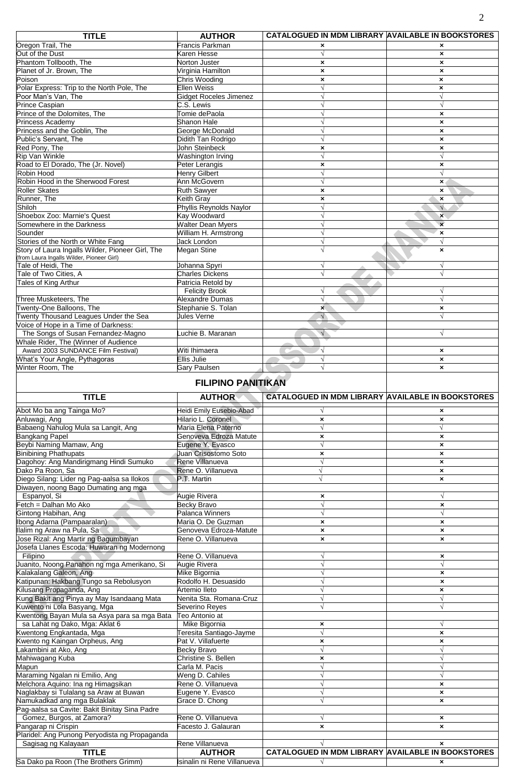| <b>TITLE</b>                                                                                  | <b>AUTHOR</b>                 | CATALOGUED IN MDM LIBRARY AVAILABLE IN BOOKSTORES |                           |
|-----------------------------------------------------------------------------------------------|-------------------------------|---------------------------------------------------|---------------------------|
| Oregon Trail, The                                                                             | <b>Francis Parkman</b>        | ×                                                 | ×                         |
| Out of the Dust                                                                               | Karen Hesse                   | $\sqrt{}$                                         | $\boldsymbol{\mathsf{x}}$ |
| Phantom Tollbooth, The                                                                        | <b>Norton Juster</b>          | $\boldsymbol{\mathsf{x}}$                         | $\boldsymbol{\mathsf{x}}$ |
| Planet of Jr. Brown, The                                                                      | Virginia Hamilton             | $\boldsymbol{\mathsf{x}}$                         | $\pmb{\times}$            |
| Poison                                                                                        | Chris Wooding                 | $\boldsymbol{\mathsf{x}}$                         | $\boldsymbol{\mathsf{x}}$ |
| Polar Express: Trip to the North Pole, The                                                    | <b>Ellen Weiss</b>            | $\sqrt{ }$                                        | $\boldsymbol{\mathsf{x}}$ |
| Poor Man's Van, The                                                                           | <b>Gidget Roceles Jimenez</b> | $\sqrt{}$                                         | $\sqrt{ }$                |
| <b>Prince Caspian</b>                                                                         | C.S. Lewis                    |                                                   | $\sqrt{}$                 |
| Prince of the Dolomites, The                                                                  | Tomie dePaola                 |                                                   | $\boldsymbol{\mathsf{x}}$ |
| Princess Academy                                                                              | <b>Shanon Hale</b>            |                                                   | $\pmb{\times}$            |
| Princess and the Goblin. The                                                                  | George McDonald               | $\sqrt{ }$                                        | $\boldsymbol{\mathsf{x}}$ |
| Public's Servant. The                                                                         | Didith Tan Rodrigo            | N                                                 | $\boldsymbol{\mathsf{x}}$ |
| Red Pony, The                                                                                 | John Steinbeck                | ×                                                 | $\boldsymbol{\mathsf{x}}$ |
| <b>Rip Van Winkle</b>                                                                         | Washington Irving             |                                                   | $\sqrt{}$                 |
| Road to El Dorado, The (Jr. Novel)                                                            | Peter Lerangis                | ×                                                 | $\boldsymbol{\mathsf{x}}$ |
| Robin Hood                                                                                    | <b>Henry Gilbert</b>          | $\sqrt{ }$                                        | $\sqrt{}$                 |
| Robin Hood in the Sherwood Forest                                                             | Ann McGovern                  | $\sqrt{ }$                                        | $\boldsymbol{\mathsf{x}}$ |
| Roller Skates                                                                                 | <b>Ruth Sawyer</b>            | $\mathbf x$                                       | ×                         |
| Runner, The                                                                                   | Keith Gray                    | $\boldsymbol{\mathsf{x}}$                         | $\boldsymbol{\mathsf{x}}$ |
| Shiloh                                                                                        | Phyllis Reynolds Naylor       |                                                   | $\sqrt{}$                 |
| Shoebox Zoo: Marnie's Quest                                                                   | Kav Woodward                  |                                                   | $\boldsymbol{\mathsf{x}}$ |
| Somewhere in the Darkness                                                                     | <b>Walter Dean Myers</b>      |                                                   | $\boldsymbol{\mathsf{x}}$ |
| Sounder                                                                                       | William H. Armstrong          |                                                   | $\boldsymbol{\mathsf{x}}$ |
| Stories of the North or White Fang                                                            | Jack London                   | $\sqrt{ }$                                        | $\sqrt{ }$                |
| Story of Laura Ingalls Wilder, Pioneer Girl, The<br>(from Laura Ingalls Wilder, Pioneer Girl) | <b>Megan Stine</b>            | $\sqrt{ }$                                        | $\boldsymbol{\mathsf{x}}$ |
| Tale of Heidi. The                                                                            | Johanna Spyri                 | $\sqrt{ }$                                        | $\sqrt{}$                 |
| Tale of Two Cities, A                                                                         | <b>Charles Dickens</b>        | $\overline{\mathcal{N}}$                          | $\sqrt{}$                 |
| Tales of King Arthur                                                                          | Patricia Retold by            |                                                   |                           |
|                                                                                               | <b>Felicity Brook</b>         | $\sqrt{ }$                                        | √                         |
| Three Musketeers, The                                                                         | Alexandre Dumas               | $\sqrt{}$                                         | $\sqrt{}$                 |
| Twenty-One Balloons, The                                                                      | Stephanie S. Tolan            | $\mathbf{x}$                                      | $\pmb{\times}$            |
| Twenty Thousand Leagues Under the Sea                                                         | <b>Jules Verne</b>            | $\sqrt{}$                                         | $\sqrt{}$                 |
| Voice of Hope in a Time of Darkness:                                                          |                               |                                                   |                           |
| The Songs of Susan Fernandez-Magno                                                            | Luchie B. Maranan             | $\sqrt{ }$                                        | $\sqrt{}$                 |
| Whale Rider, The (Winner of Audience                                                          |                               |                                                   |                           |
| Award 2003 SUNDANCE Film Festival)                                                            | Witi Ihimaera                 |                                                   | $\boldsymbol{\mathsf{x}}$ |
| What's Your Angle, Pythagoras                                                                 | <b>Ellis Julie</b>            | $\sqrt{}$                                         | $\boldsymbol{\mathsf{x}}$ |
| Winter Room. The                                                                              | Gary Paulsen                  | $\sqrt{ }$                                        | $\boldsymbol{\mathsf{x}}$ |
|                                                                                               | <b>FILIPINO PANITIKAN</b>     |                                                   |                           |

## **FILIPINO PANITIKAN**

| <b>TITLE</b>                                  | <b>AUTHOR</b>               | <b>CATALOGUED IN MDM LIBRARY AVAILABLE IN BOOKSTORES</b> |                           |
|-----------------------------------------------|-----------------------------|----------------------------------------------------------|---------------------------|
| Abot Mo ba ang Tainga Mo?                     | Heidi Emily Eusebio-Abad    |                                                          | ×                         |
| Anluwagi, Ang                                 | Hilario L. Coronel          | $\boldsymbol{\mathsf{x}}$                                | ×                         |
| Babaeng Nahulog Mula sa Langit, Ang           | Maria Elena Paterno         | $\sqrt{ }$                                               | $\sqrt{}$                 |
| <b>Bangkang Papel</b>                         | Genoveva Edroza Matute      | $\boldsymbol{\mathsf{x}}$                                | $\pmb{\times}$            |
| Beybi Naming Mamaw, Ang                       | Eugene Y. Evasco            | $\overline{v}$                                           | $\pmb{\times}$            |
| <b>Binibining Phathupats</b>                  | Juan Crisostomo Soto        | $\boldsymbol{\mathsf{x}}$                                | $\boldsymbol{\mathsf{x}}$ |
| Dagohoy: Ang Mandirigmang Hindi Sumuko        | Rene Villanueva             | $\sqrt{ }$                                               | $\pmb{\times}$            |
| Dako Pa Roon, Sa                              | Rene O. Villanueva          | V                                                        | $\boldsymbol{\mathsf{x}}$ |
| Diego Silang: Lider ng Pag-aalsa sa Ilokos    | P.T. Martin                 |                                                          | $\boldsymbol{\mathsf{x}}$ |
| Diwayen, noong Bago Dumating ang mga          |                             |                                                          |                           |
| Espanyol, Si                                  | Augie Rivera                | $\pmb{\times}$                                           | $\sqrt{ }$                |
| Fetch = Dalhan Mo Ako                         | <b>Becky Bravo</b>          |                                                          | $\pmb{\times}$            |
| Gintong Habihan, Ang                          | Palanca Winners             |                                                          | $\sqrt{ }$                |
| Ibong Adarna (Pampaaralan)                    | Maria O. De Guzman          | $\pmb{\times}$                                           | $\pmb{\times}$            |
| llalim ng Araw na Pula, Sa                    | Genoveva Edroza-Matute      | $\boldsymbol{\mathsf{x}}$                                | $\pmb{\times}$            |
| Jose Rizal: Ang Martir ng Bagumbayan          | Rene O. Villanueva          | $\boldsymbol{\mathsf{x}}$                                | $\boldsymbol{\mathsf{x}}$ |
| Josefa Llanes Escoda: Huwaran ng Modernong    |                             |                                                          |                           |
| Filipino                                      | Rene O. Villanueva          |                                                          | $\pmb{\times}$            |
| Juanito, Noong Panahon ng mga Amerikano, Si   | Augie Rivera                |                                                          | $\sqrt{ }$                |
| Kalakalang Galeon, Ang                        | Mike Bigornia               |                                                          | $\pmb{\times}$            |
| Katipunan: Hakbang Tungo sa Rebolusyon        | Rodolfo H. Desuasido        |                                                          | $\pmb{\times}$            |
| Kilusang Propaganda, Ang                      | Artemio Ileto               |                                                          | $\mathbf{x}$              |
| Kung Bakit ang Pinya ay May Isandaang Mata    | Nenita Sta. Romana-Cruz     |                                                          | $\sqrt{}$                 |
| Kuwento ni Lola Basyang, Mga                  | Severino Reyes              | V                                                        | $\sqrt{}$                 |
| Kwentong Bayan Mula sa Asya para sa mga Bata  | Teo Antonio at              |                                                          |                           |
| sa Lahat ng Dako, Mga: Aklat 6                | Mike Bigornia               | $\pmb{\times}$                                           | $\sqrt{ }$                |
| Kwentong Engkantada, Mga                      | Feresita Santiago-Jayme     | $\sqrt{ }$                                               | $\pmb{\times}$            |
| Kwento ng Kaingan Orpheus, Ang                | Pat V. Villafuerte          | $\boldsymbol{\mathsf{x}}$                                | $\boldsymbol{\mathsf{x}}$ |
| akambini at Ako, Ang                          | <b>Becky Bravo</b>          | $\sqrt{ }$                                               | $\sqrt{ }$                |
| Mahiwagang Kuba                               | Christine S. Bellen         | $\pmb{\times}$                                           | $\sqrt{}$                 |
| Mapun                                         | Carla M. Pacis              | $\sqrt{ }$                                               | $\sqrt{}$                 |
| Maraming Ngalan ni Emilio, Ang                | Weng D. Cahiles             |                                                          | $\sqrt{ }$                |
| Melchora Aquino: Ina ng Himagsikan            | Rene O. Villanueva          |                                                          | $\pmb{\times}$            |
| Naglakbay si Tulalang sa Araw at Buwan        | Eugene Y. Evasco            | $\sqrt{ }$                                               | ×                         |
| Vamukadkad ang mga Bulaklak                   | Grace D. Chong              |                                                          | $\boldsymbol{\mathsf{x}}$ |
| Pag-aalsa sa Cavite: Bakit Binitay Sina Padre |                             |                                                          |                           |
| Gomez, Burgos, at Zamora?                     | Rene O. Villanueva          |                                                          | ×                         |
| Pangarap ni Crispin                           | Facesto J. Galauran         | $\boldsymbol{\mathsf{x}}$                                | $\pmb{\times}$            |
| Plaridel: Ang Punong Peryodista ng Propaganda |                             |                                                          |                           |
| Sagisag ng Kalayaan                           | Rene Villanueva             |                                                          | ×                         |
| <b>TITLE</b>                                  | <b>AUTHOR</b>               | <b>CATALOGUED IN MDM LIBRARY AVAILABLE IN BOOKSTORES</b> |                           |
| Sa Dako pa Roon (The Brothers Grimm)          | Isinalin ni Rene Villanueva | $\sqrt{ }$                                               | $\mathbf{x}$              |